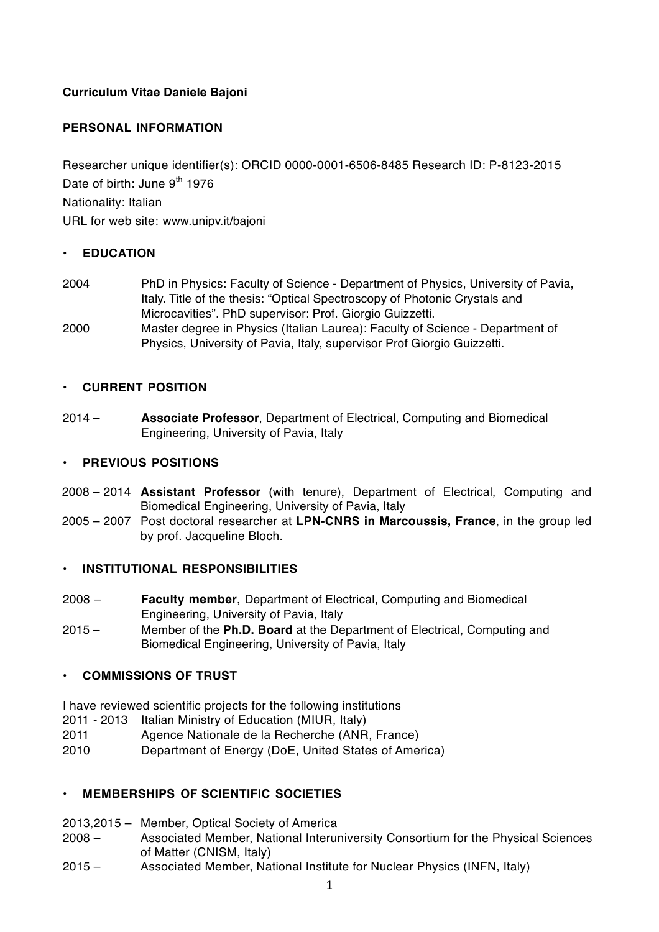## **Curriculum Vitae Daniele Bajoni**

## **PERSONAL INFORMATION**

Researcher unique identifier(s): ORCID 0000-0001-6506-8485 Research ID: P-8123-2015 Date of birth: June 9<sup>th</sup> 1976 Nationality: Italian URL for web site: www.unipv.it/bajoni

### • **EDUCATION**

- 2004 PhD in Physics: Faculty of Science Department of Physics, University of Pavia, Italy. Title of the thesis: "Optical Spectroscopy of Photonic Crystals and Microcavities". PhD supervisor: Prof. Giorgio Guizzetti.
- 2000 Master degree in Physics (Italian Laurea): Faculty of Science Department of Physics, University of Pavia, Italy, supervisor Prof Giorgio Guizzetti.

### • **CURRENT POSITION**

2014 – **Associate Professor**, Department of Electrical, Computing and Biomedical Engineering, University of Pavia, Italy

#### • **PREVIOUS POSITIONS**

- 2008 2014 **Assistant Professor** (with tenure), Department of Electrical, Computing and Biomedical Engineering, University of Pavia, Italy
- 2005 2007 Post doctoral researcher at **LPN-CNRS in Marcoussis, France**, in the group led by prof. Jacqueline Bloch.

### • **INSTITUTIONAL RESPONSIBILITIES**

- 2008 **Faculty member**, Department of Electrical, Computing and Biomedical Engineering, University of Pavia, Italy
- 2015 Member of the **Ph.D. Board** at the Department of Electrical, Computing and Biomedical Engineering, University of Pavia, Italy

### • **COMMISSIONS OF TRUST**

I have reviewed scientific projects for the following institutions

- 2011 2013 Italian Ministry of Education (MIUR, Italy)
- 2011 Agence Nationale de la Recherche (ANR, France)
- 2010 Department of Energy (DoE, United States of America)

### • **MEMBERSHIPS OF SCIENTIFIC SOCIETIES**

- 2013,2015 Member, Optical Society of America
- 2008 Associated Member, National Interuniversity Consortium for the Physical Sciences of Matter (CNISM, Italy)
- 2015 Associated Member, National Institute for Nuclear Physics (INFN, Italy)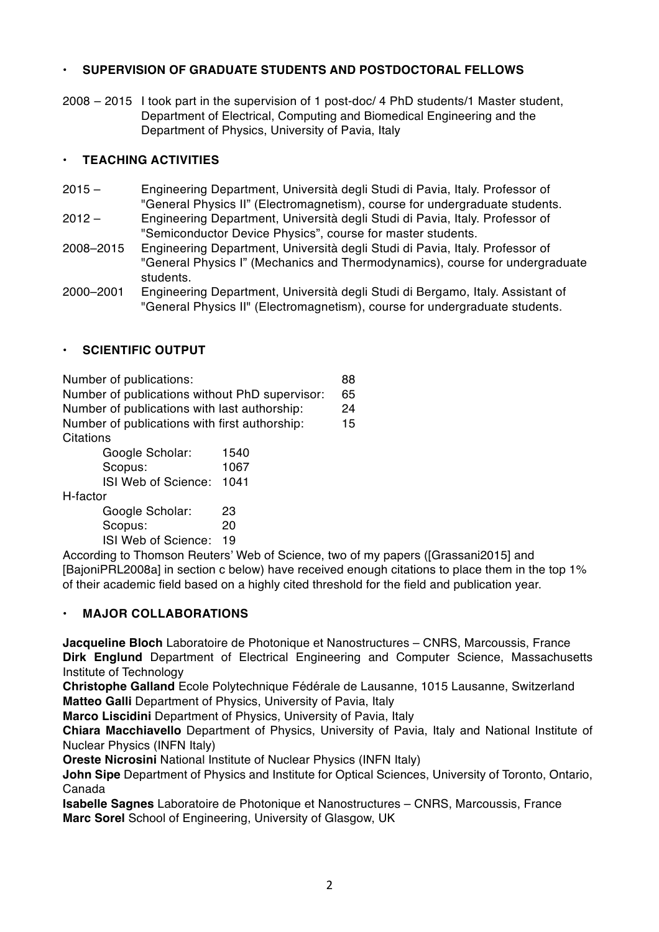# • **SUPERVISION OF GRADUATE STUDENTS AND POSTDOCTORAL FELLOWS**

2008 – 2015 I took part in the supervision of 1 post-doc/ 4 PhD students/1 Master student, Department of Electrical, Computing and Biomedical Engineering and the Department of Physics, University of Pavia, Italy

# • **TEACHING ACTIVITIES**

- 2015 Engineering Department, Università degli Studi di Pavia, Italy. Professor of "General Physics II" (Electromagnetism), course for undergraduate students.
- 2012 Engineering Department, Università degli Studi di Pavia, Italy. Professor of "Semiconductor Device Physics", course for master students.
- 2008–2015 Engineering Department, Università degli Studi di Pavia, Italy. Professor of "General Physics I" (Mechanics and Thermodynamics), course for undergraduate students.
- 2000–2001 Engineering Department, Università degli Studi di Bergamo, Italy. Assistant of "General Physics II" (Electromagnetism), course for undergraduate students.

# • **SCIENTIFIC OUTPUT**

Number of publications: 88 Number of publications without PhD supervisor: 65 Number of publications with last authorship: 24 Number of publications with first authorship: 15 **Citations** 

| Google Scholar:     | 1540 |
|---------------------|------|
| Scopus:             | 1067 |
| ISI Web of Science: | 1041 |

H-factor

Google Scholar: 23 Scopus: 20 ISI Web of Science: 19

According to Thomson Reuters' Web of Science, two of my papers ([Grassani2015] and [BajoniPRL2008a] in section c below) have received enough citations to place them in the top 1% of their academic field based on a highly cited threshold for the field and publication year.

# • **MAJOR COLLABORATIONS**

**Jacqueline Bloch** Laboratoire de Photonique et Nanostructures – CNRS, Marcoussis, France **Dirk Englund** Department of Electrical Engineering and Computer Science, Massachusetts Institute of Technology

**Christophe Galland** Ecole Polytechnique Fédérale de Lausanne, 1015 Lausanne, Switzerland **Matteo Galli** Department of Physics, University of Pavia, Italy

**Marco Liscidini** Department of Physics, University of Pavia, Italy

**Chiara Macchiavello** Department of Physics, University of Pavia, Italy and National Institute of Nuclear Physics (INFN Italy)

**Oreste Nicrosini** National Institute of Nuclear Physics (INFN Italy)

**John Sipe** Department of Physics and Institute for Optical Sciences, University of Toronto, Ontario, Canada

**Isabelle Sagnes** Laboratoire de Photonique et Nanostructures – CNRS, Marcoussis, France **Marc Sorel** School of Engineering, University of Glasgow, UK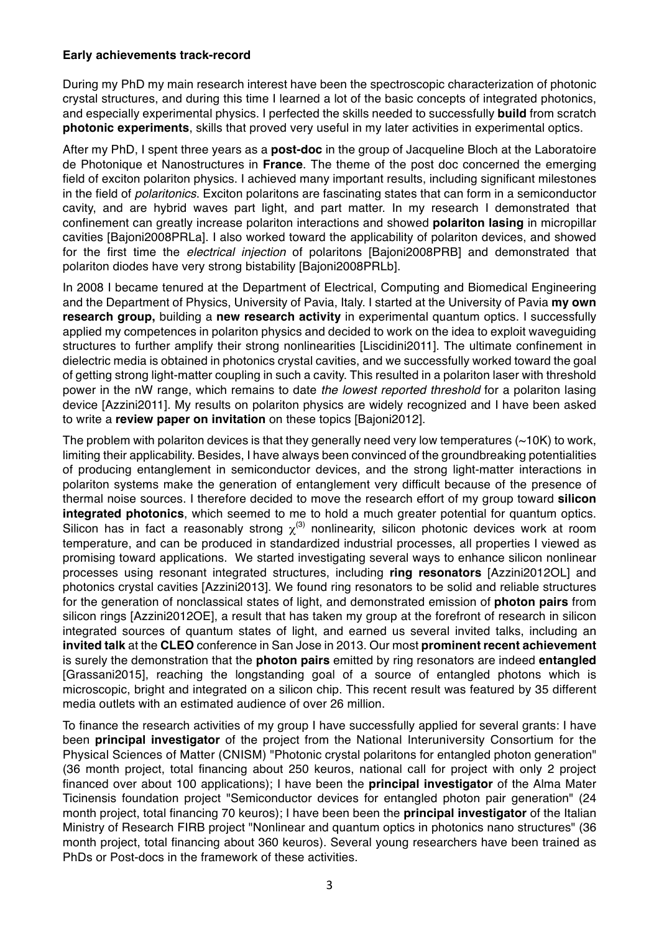### **Early achievements track-record**

During my PhD my main research interest have been the spectroscopic characterization of photonic crystal structures, and during this time I learned a lot of the basic concepts of integrated photonics, and especially experimental physics. I perfected the skills needed to successfully **build** from scratch **photonic experiments**, skills that proved very useful in my later activities in experimental optics.

After my PhD, I spent three years as a **post-doc** in the group of Jacqueline Bloch at the Laboratoire de Photonique et Nanostructures in **France**. The theme of the post doc concerned the emerging field of exciton polariton physics. I achieved many important results, including significant milestones in the field of *polaritonics*. Exciton polaritons are fascinating states that can form in a semiconductor cavity, and are hybrid waves part light, and part matter. In my research I demonstrated that confinement can greatly increase polariton interactions and showed **polariton lasing** in micropillar cavities [Bajoni2008PRLa]. I also worked toward the applicability of polariton devices, and showed for the first time the *electrical injection* of polaritons [Bajoni2008PRB] and demonstrated that polariton diodes have very strong bistability [Bajoni2008PRLb].

In 2008 I became tenured at the Department of Electrical, Computing and Biomedical Engineering and the Department of Physics, University of Pavia, Italy. I started at the University of Pavia **my own research group,** building a **new research activity** in experimental quantum optics. I successfully applied my competences in polariton physics and decided to work on the idea to exploit waveguiding structures to further amplify their strong nonlinearities [Liscidini2011]. The ultimate confinement in dielectric media is obtained in photonics crystal cavities, and we successfully worked toward the goal of getting strong light-matter coupling in such a cavity. This resulted in a polariton laser with threshold power in the nW range, which remains to date *the lowest reported threshold* for a polariton lasing device [Azzini2011]. My results on polariton physics are widely recognized and I have been asked to write a **review paper on invitation** on these topics [Bajoni2012].

The problem with polariton devices is that they generally need very low temperatures  $(\sim 10K)$  to work, limiting their applicability. Besides, I have always been convinced of the groundbreaking potentialities of producing entanglement in semiconductor devices, and the strong light-matter interactions in polariton systems make the generation of entanglement very difficult because of the presence of thermal noise sources. I therefore decided to move the research effort of my group toward **silicon integrated photonics**, which seemed to me to hold a much greater potential for quantum optics. Silicon has in fact a reasonably strong  $\chi$ <sup>(3)</sup> nonlinearity, silicon photonic devices work at room temperature, and can be produced in standardized industrial processes, all properties I viewed as promising toward applications. We started investigating several ways to enhance silicon nonlinear processes using resonant integrated structures, including **ring resonators** [Azzini2012OL] and photonics crystal cavities [Azzini2013]. We found ring resonators to be solid and reliable structures for the generation of nonclassical states of light, and demonstrated emission of **photon pairs** from silicon rings [Azzini2012OE], a result that has taken my group at the forefront of research in silicon integrated sources of quantum states of light, and earned us several invited talks, including an **invited talk** at the **CLEO** conference in San Jose in 2013. Our most **prominent recent achievement** is surely the demonstration that the **photon pairs** emitted by ring resonators are indeed **entangled** [Grassani2015], reaching the longstanding goal of a source of entangled photons which is microscopic, bright and integrated on a silicon chip. This recent result was featured by 35 different media outlets with an estimated audience of over 26 million.

To finance the research activities of my group I have successfully applied for several grants: I have been **principal investigator** of the project from the National Interuniversity Consortium for the Physical Sciences of Matter (CNISM) "Photonic crystal polaritons for entangled photon generation" (36 month project, total financing about 250 keuros, national call for project with only 2 project financed over about 100 applications); I have been the **principal investigator** of the Alma Mater Ticinensis foundation project "Semiconductor devices for entangled photon pair generation" (24 month project, total financing 70 keuros); I have been been the **principal investigator** of the Italian Ministry of Research FIRB project "Nonlinear and quantum optics in photonics nano structures" (36 month project, total financing about 360 keuros). Several young researchers have been trained as PhDs or Post-docs in the framework of these activities.